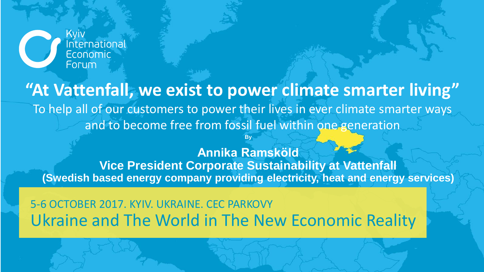

**"At Vattenfall, we exist to power climate smarter living"** To help all of our customers to power their lives in ever climate smarter ways and to become free from fossil fuel within one generation

**Annika Ramsköld Vice President Corporate Sustainability at Vattenfall (Swedish based energy company providing electricity, heat and energy services)**

**By** 

Ukraine and The World in The New Economic Reality 5-6 OCTOBER 2017. KYIV. UKRAINE. CEC PARKOVY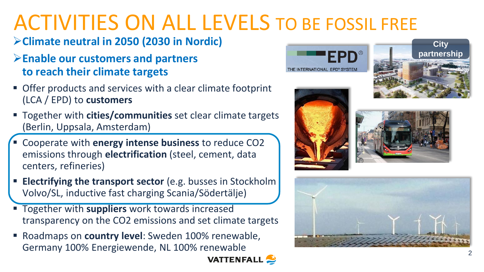# ACTIVITIES ON ALL LEVELS TO BE FOSSIL FREE

### **Climate neutral in 2050 (2030 in Nordic)**

#### **Enable our customers and partners to reach their climate targets**

- Offer products and services with a clear climate footprint (LCA / EPD) to **customers**
- Together with **cities/communities** set clear climate targets (Berlin, Uppsala, Amsterdam)
- Cooperate with **energy intense business** to reduce CO2 emissions through **electrification** (steel, cement, data centers, refineries)
- **Electrifying the transport sector** (e.g. busses in Stockholm Volvo/SL, inductive fast charging Scania/Södertälje)
- Together with **suppliers** work towards increased transparency on the CO2 emissions and set climate targets
- Roadmaps on **country level**: Sweden 100% renewable, Germany 100% Energiewende, NL 100% renewable











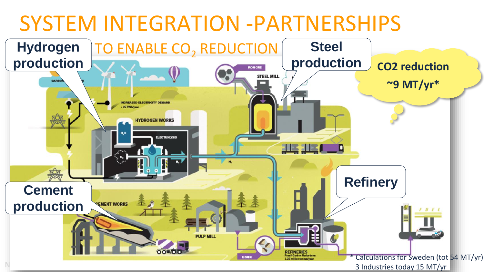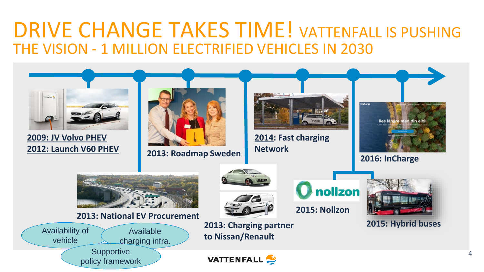# DRIVE CHANGE TAKES TIME! VATTENFALL IS PUSHING THE VISION - 1 MILLION ELECTRIFIED VEHICLES IN 2030



4